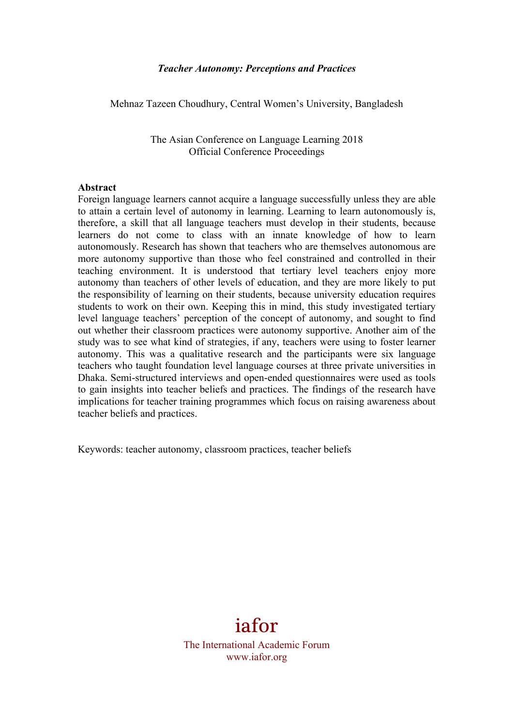#### *Teacher Autonomy: Perceptions and Practices*

Mehnaz Tazeen Choudhury, Central Women's University, Bangladesh

The Asian Conference on Language Learning 2018 Official Conference Proceedings

#### **Abstract**

Foreign language learners cannot acquire a language successfully unless they are able to attain a certain level of autonomy in learning. Learning to learn autonomously is, therefore, a skill that all language teachers must develop in their students, because learners do not come to class with an innate knowledge of how to learn autonomously. Research has shown that teachers who are themselves autonomous are more autonomy supportive than those who feel constrained and controlled in their teaching environment. It is understood that tertiary level teachers enjoy more autonomy than teachers of other levels of education, and they are more likely to put the responsibility of learning on their students, because university education requires students to work on their own. Keeping this in mind, this study investigated tertiary level language teachers' perception of the concept of autonomy, and sought to find out whether their classroom practices were autonomy supportive. Another aim of the study was to see what kind of strategies, if any, teachers were using to foster learner autonomy. This was a qualitative research and the participants were six language teachers who taught foundation level language courses at three private universities in Dhaka. Semi-structured interviews and open-ended questionnaires were used as tools to gain insights into teacher beliefs and practices. The findings of the research have implications for teacher training programmes which focus on raising awareness about teacher beliefs and practices.

Keywords: teacher autonomy, classroom practices, teacher beliefs

# iafor

The International Academic Forum www.iafor.org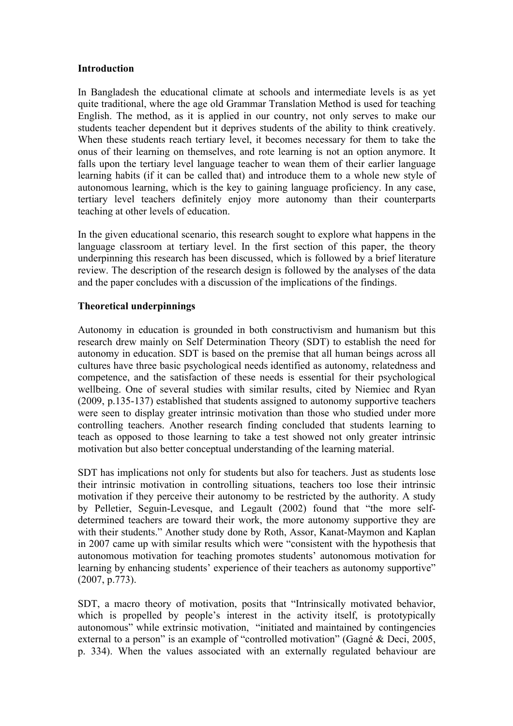#### **Introduction**

In Bangladesh the educational climate at schools and intermediate levels is as yet quite traditional, where the age old Grammar Translation Method is used for teaching English. The method, as it is applied in our country, not only serves to make our students teacher dependent but it deprives students of the ability to think creatively. When these students reach tertiary level, it becomes necessary for them to take the onus of their learning on themselves, and rote learning is not an option anymore. It falls upon the tertiary level language teacher to wean them of their earlier language learning habits (if it can be called that) and introduce them to a whole new style of autonomous learning, which is the key to gaining language proficiency. In any case, tertiary level teachers definitely enjoy more autonomy than their counterparts teaching at other levels of education.

In the given educational scenario, this research sought to explore what happens in the language classroom at tertiary level. In the first section of this paper, the theory underpinning this research has been discussed, which is followed by a brief literature review. The description of the research design is followed by the analyses of the data and the paper concludes with a discussion of the implications of the findings.

## **Theoretical underpinnings**

Autonomy in education is grounded in both constructivism and humanism but this research drew mainly on Self Determination Theory (SDT) to establish the need for autonomy in education. SDT is based on the premise that all human beings across all cultures have three basic psychological needs identified as autonomy, relatedness and competence, and the satisfaction of these needs is essential for their psychological wellbeing. One of several studies with similar results, cited by Niemiec and Ryan (2009, p.135-137) established that students assigned to autonomy supportive teachers were seen to display greater intrinsic motivation than those who studied under more controlling teachers. Another research finding concluded that students learning to teach as opposed to those learning to take a test showed not only greater intrinsic motivation but also better conceptual understanding of the learning material.

SDT has implications not only for students but also for teachers. Just as students lose their intrinsic motivation in controlling situations, teachers too lose their intrinsic motivation if they perceive their autonomy to be restricted by the authority. A study by Pelletier, Seguin-Levesque, and Legault (2002) found that "the more selfdetermined teachers are toward their work, the more autonomy supportive they are with their students." Another study done by Roth, Assor, Kanat-Maymon and Kaplan in 2007 came up with similar results which were "consistent with the hypothesis that autonomous motivation for teaching promotes students' autonomous motivation for learning by enhancing students' experience of their teachers as autonomy supportive" (2007, p.773).

SDT, a macro theory of motivation, posits that "Intrinsically motivated behavior, which is propelled by people's interest in the activity itself, is prototypically autonomous" while extrinsic motivation, "initiated and maintained by contingencies external to a person" is an example of "controlled motivation" (Gagné & Deci, 2005, p. 334). When the values associated with an externally regulated behaviour are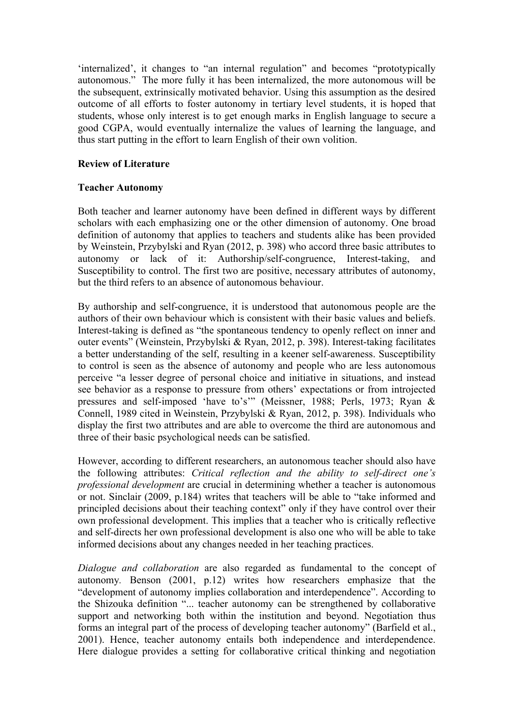'internalized', it changes to "an internal regulation" and becomes "prototypically autonomous." The more fully it has been internalized, the more autonomous will be the subsequent, extrinsically motivated behavior. Using this assumption as the desired outcome of all efforts to foster autonomy in tertiary level students, it is hoped that students, whose only interest is to get enough marks in English language to secure a good CGPA, would eventually internalize the values of learning the language, and thus start putting in the effort to learn English of their own volition.

## **Review of Literature**

## **Teacher Autonomy**

Both teacher and learner autonomy have been defined in different ways by different scholars with each emphasizing one or the other dimension of autonomy. One broad definition of autonomy that applies to teachers and students alike has been provided by Weinstein, Przybylski and Ryan (2012, p. 398) who accord three basic attributes to autonomy or lack of it: Authorship/self-congruence, Interest-taking, and Susceptibility to control. The first two are positive, necessary attributes of autonomy, but the third refers to an absence of autonomous behaviour.

By authorship and self-congruence, it is understood that autonomous people are the authors of their own behaviour which is consistent with their basic values and beliefs. Interest-taking is defined as "the spontaneous tendency to openly reflect on inner and outer events" (Weinstein, Przybylski & Ryan, 2012, p. 398). Interest-taking facilitates a better understanding of the self, resulting in a keener self-awareness. Susceptibility to control is seen as the absence of autonomy and people who are less autonomous perceive "a lesser degree of personal choice and initiative in situations, and instead see behavior as a response to pressure from others' expectations or from introjected pressures and self-imposed 'have to's'" (Meissner, 1988; Perls, 1973; Ryan & Connell, 1989 cited in Weinstein, Przybylski & Ryan, 2012, p. 398). Individuals who display the first two attributes and are able to overcome the third are autonomous and three of their basic psychological needs can be satisfied.

However, according to different researchers, an autonomous teacher should also have the following attributes: *Critical reflection and the ability to self-direct one's professional development* are crucial in determining whether a teacher is autonomous or not. Sinclair (2009, p.184) writes that teachers will be able to "take informed and principled decisions about their teaching context" only if they have control over their own professional development. This implies that a teacher who is critically reflective and self-directs her own professional development is also one who will be able to take informed decisions about any changes needed in her teaching practices.

*Dialogue and collaboration* are also regarded as fundamental to the concept of autonomy*.* Benson (2001, p.12) writes how researchers emphasize that the "development of autonomy implies collaboration and interdependence". According to the Shizouka definition "... teacher autonomy can be strengthened by collaborative support and networking both within the institution and beyond. Negotiation thus forms an integral part of the process of developing teacher autonomy" (Barfield et al., 2001). Hence, teacher autonomy entails both independence and interdependence. Here dialogue provides a setting for collaborative critical thinking and negotiation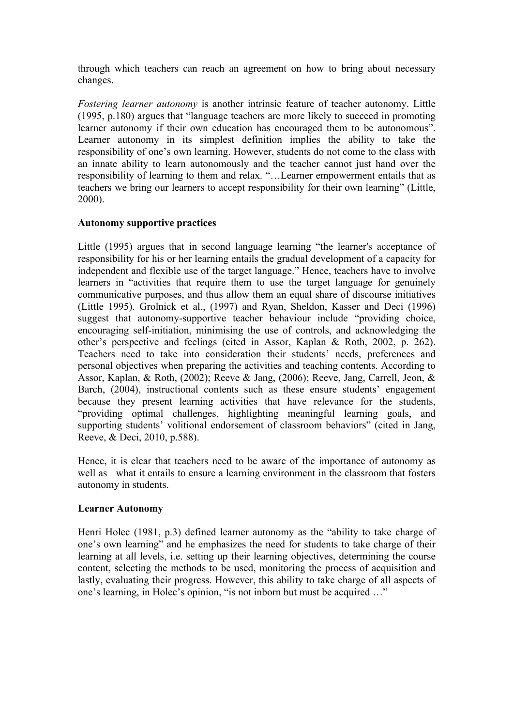through which teachers can reach an agreement on how to bring about necessary changes.

*Fostering learner autonomy* is another intrinsic feature of teacher autonomy. Little (1995, p.180) argues that "language teachers are more likely to succeed in promoting learner autonomy if their own education has encouraged them to be autonomous". Learner autonomy in its simplest definition implies the ability to take the responsibility of one's own learning. However, students do not come to the class with an innate ability to learn autonomously and the teacher cannot just hand over the responsibility of learning to them and relax. "…Learner empowerment entails that as teachers we bring our learners to accept responsibility for their own learning" (Little, 2000).

## **Autonomy supportive practices**

Little (1995) argues that in second language learning "the learner's acceptance of responsibility for his or her learning entails the gradual development of a capacity for independent and flexible use of the target language." Hence, teachers have to involve learners in "activities that require them to use the target language for genuinely communicative purposes, and thus allow them an equal share of discourse initiatives (Little 1995). Grolnick et al., (1997) and Ryan, Sheldon, Kasser and Deci (1996) suggest that autonomy-supportive teacher behaviour include "providing choice, encouraging self-initiation, minimising the use of controls, and acknowledging the other's perspective and feelings (cited in Assor, Kaplan & Roth, 2002, p. 262). Teachers need to take into consideration their students' needs, preferences and personal objectives when preparing the activities and teaching contents. According to Assor, Kaplan, & Roth, (2002); Reeve & Jang, (2006); Reeve, Jang, Carrell, Jeon, & Barch, (2004), instructional contents such as these ensure students' engagement because they present learning activities that have relevance for the students, "providing optimal challenges, highlighting meaningful learning goals, and supporting students' volitional endorsement of classroom behaviors" (cited in Jang, Reeve, & Deci, 2010, p.588).

Hence, it is clear that teachers need to be aware of the importance of autonomy as well as what it entails to ensure a learning environment in the classroom that fosters autonomy in students.

## **Learner Autonomy**

Henri Holec (1981, p.3) defined learner autonomy as the "ability to take charge of one's own learning" and he emphasizes the need for students to take charge of their learning at all levels, i.e. setting up their learning objectives, determining the course content, selecting the methods to be used, monitoring the process of acquisition and lastly, evaluating their progress. However, this ability to take charge of all aspects of one's learning, in Holec's opinion, "is not inborn but must be acquired …"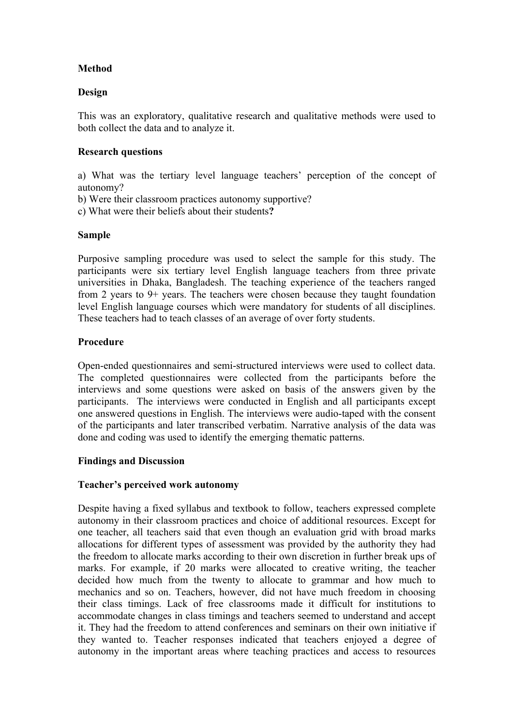## **Method**

## **Design**

This was an exploratory, qualitative research and qualitative methods were used to both collect the data and to analyze it.

## **Research questions**

a) What was the tertiary level language teachers' perception of the concept of autonomy?

- b) Were their classroom practices autonomy supportive?
- c) What were their beliefs about their students**?**

## **Sample**

Purposive sampling procedure was used to select the sample for this study. The participants were six tertiary level English language teachers from three private universities in Dhaka, Bangladesh. The teaching experience of the teachers ranged from 2 years to 9+ years. The teachers were chosen because they taught foundation level English language courses which were mandatory for students of all disciplines. These teachers had to teach classes of an average of over forty students.

#### **Procedure**

Open-ended questionnaires and semi-structured interviews were used to collect data. The completed questionnaires were collected from the participants before the interviews and some questions were asked on basis of the answers given by the participants. The interviews were conducted in English and all participants except one answered questions in English. The interviews were audio-taped with the consent of the participants and later transcribed verbatim. Narrative analysis of the data was done and coding was used to identify the emerging thematic patterns.

#### **Findings and Discussion**

#### **Teacher's perceived work autonomy**

Despite having a fixed syllabus and textbook to follow, teachers expressed complete autonomy in their classroom practices and choice of additional resources. Except for one teacher, all teachers said that even though an evaluation grid with broad marks allocations for different types of assessment was provided by the authority they had the freedom to allocate marks according to their own discretion in further break ups of marks. For example, if 20 marks were allocated to creative writing, the teacher decided how much from the twenty to allocate to grammar and how much to mechanics and so on. Teachers, however, did not have much freedom in choosing their class timings. Lack of free classrooms made it difficult for institutions to accommodate changes in class timings and teachers seemed to understand and accept it. They had the freedom to attend conferences and seminars on their own initiative if they wanted to. Teacher responses indicated that teachers enjoyed a degree of autonomy in the important areas where teaching practices and access to resources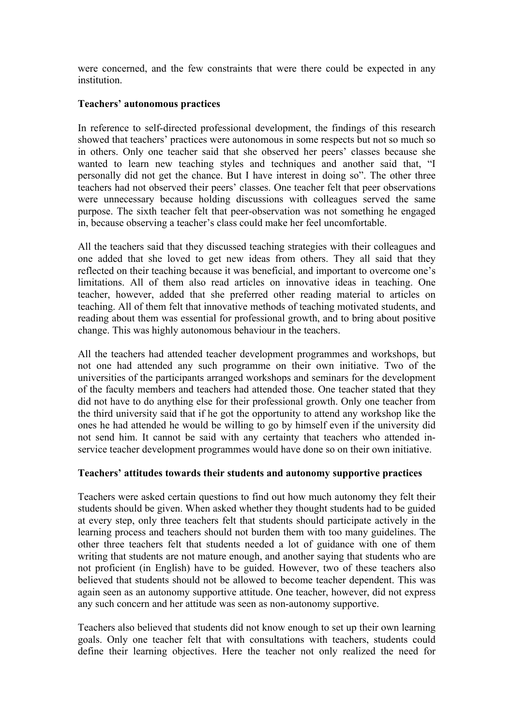were concerned, and the few constraints that were there could be expected in any institution.

### **Teachers' autonomous practices**

In reference to self-directed professional development, the findings of this research showed that teachers' practices were autonomous in some respects but not so much so in others. Only one teacher said that she observed her peers' classes because she wanted to learn new teaching styles and techniques and another said that, "I personally did not get the chance. But I have interest in doing so". The other three teachers had not observed their peers' classes. One teacher felt that peer observations were unnecessary because holding discussions with colleagues served the same purpose. The sixth teacher felt that peer-observation was not something he engaged in, because observing a teacher's class could make her feel uncomfortable.

All the teachers said that they discussed teaching strategies with their colleagues and one added that she loved to get new ideas from others. They all said that they reflected on their teaching because it was beneficial, and important to overcome one's limitations. All of them also read articles on innovative ideas in teaching. One teacher, however, added that she preferred other reading material to articles on teaching. All of them felt that innovative methods of teaching motivated students, and reading about them was essential for professional growth, and to bring about positive change. This was highly autonomous behaviour in the teachers.

All the teachers had attended teacher development programmes and workshops, but not one had attended any such programme on their own initiative. Two of the universities of the participants arranged workshops and seminars for the development of the faculty members and teachers had attended those. One teacher stated that they did not have to do anything else for their professional growth. Only one teacher from the third university said that if he got the opportunity to attend any workshop like the ones he had attended he would be willing to go by himself even if the university did not send him. It cannot be said with any certainty that teachers who attended inservice teacher development programmes would have done so on their own initiative.

#### **Teachers' attitudes towards their students and autonomy supportive practices**

Teachers were asked certain questions to find out how much autonomy they felt their students should be given. When asked whether they thought students had to be guided at every step, only three teachers felt that students should participate actively in the learning process and teachers should not burden them with too many guidelines. The other three teachers felt that students needed a lot of guidance with one of them writing that students are not mature enough, and another saying that students who are not proficient (in English) have to be guided. However, two of these teachers also believed that students should not be allowed to become teacher dependent. This was again seen as an autonomy supportive attitude. One teacher, however, did not express any such concern and her attitude was seen as non-autonomy supportive.

Teachers also believed that students did not know enough to set up their own learning goals. Only one teacher felt that with consultations with teachers, students could define their learning objectives. Here the teacher not only realized the need for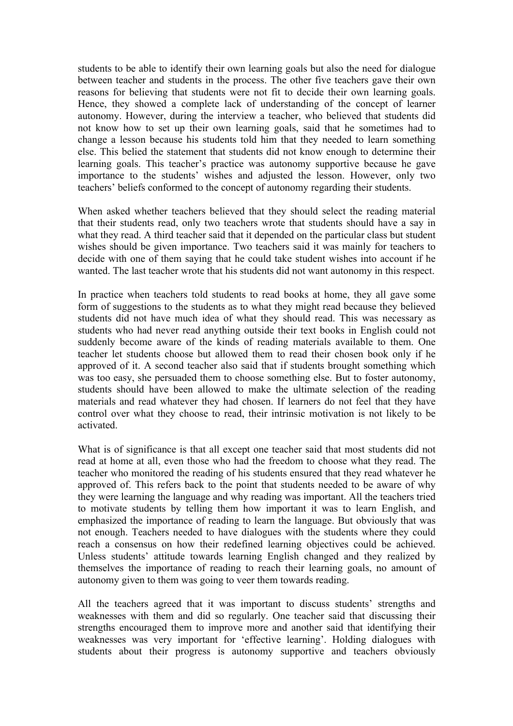students to be able to identify their own learning goals but also the need for dialogue between teacher and students in the process. The other five teachers gave their own reasons for believing that students were not fit to decide their own learning goals. Hence, they showed a complete lack of understanding of the concept of learner autonomy. However, during the interview a teacher, who believed that students did not know how to set up their own learning goals, said that he sometimes had to change a lesson because his students told him that they needed to learn something else. This belied the statement that students did not know enough to determine their learning goals. This teacher's practice was autonomy supportive because he gave importance to the students' wishes and adjusted the lesson. However, only two teachers' beliefs conformed to the concept of autonomy regarding their students.

When asked whether teachers believed that they should select the reading material that their students read, only two teachers wrote that students should have a say in what they read. A third teacher said that it depended on the particular class but student wishes should be given importance. Two teachers said it was mainly for teachers to decide with one of them saying that he could take student wishes into account if he wanted. The last teacher wrote that his students did not want autonomy in this respect.

In practice when teachers told students to read books at home, they all gave some form of suggestions to the students as to what they might read because they believed students did not have much idea of what they should read. This was necessary as students who had never read anything outside their text books in English could not suddenly become aware of the kinds of reading materials available to them. One teacher let students choose but allowed them to read their chosen book only if he approved of it. A second teacher also said that if students brought something which was too easy, she persuaded them to choose something else. But to foster autonomy, students should have been allowed to make the ultimate selection of the reading materials and read whatever they had chosen. If learners do not feel that they have control over what they choose to read, their intrinsic motivation is not likely to be activated.

What is of significance is that all except one teacher said that most students did not read at home at all, even those who had the freedom to choose what they read. The teacher who monitored the reading of his students ensured that they read whatever he approved of. This refers back to the point that students needed to be aware of why they were learning the language and why reading was important. All the teachers tried to motivate students by telling them how important it was to learn English, and emphasized the importance of reading to learn the language. But obviously that was not enough. Teachers needed to have dialogues with the students where they could reach a consensus on how their redefined learning objectives could be achieved. Unless students' attitude towards learning English changed and they realized by themselves the importance of reading to reach their learning goals, no amount of autonomy given to them was going to veer them towards reading.

All the teachers agreed that it was important to discuss students' strengths and weaknesses with them and did so regularly. One teacher said that discussing their strengths encouraged them to improve more and another said that identifying their weaknesses was very important for 'effective learning'. Holding dialogues with students about their progress is autonomy supportive and teachers obviously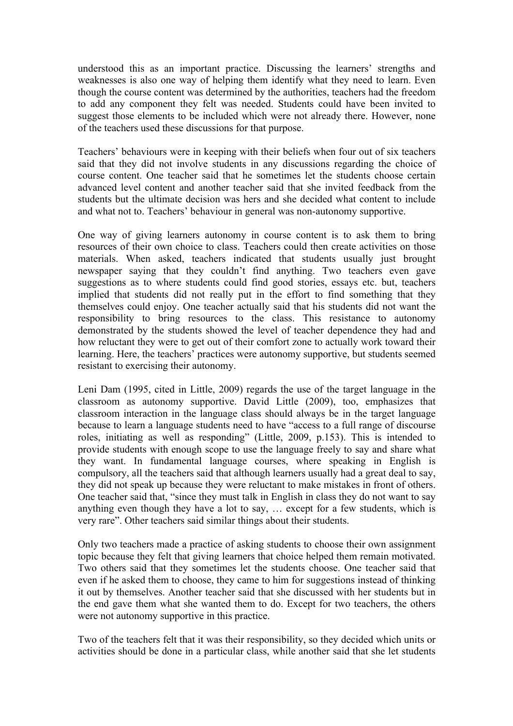understood this as an important practice. Discussing the learners' strengths and weaknesses is also one way of helping them identify what they need to learn. Even though the course content was determined by the authorities, teachers had the freedom to add any component they felt was needed. Students could have been invited to suggest those elements to be included which were not already there. However, none of the teachers used these discussions for that purpose.

Teachers' behaviours were in keeping with their beliefs when four out of six teachers said that they did not involve students in any discussions regarding the choice of course content. One teacher said that he sometimes let the students choose certain advanced level content and another teacher said that she invited feedback from the students but the ultimate decision was hers and she decided what content to include and what not to. Teachers' behaviour in general was non-autonomy supportive.

One way of giving learners autonomy in course content is to ask them to bring resources of their own choice to class. Teachers could then create activities on those materials. When asked, teachers indicated that students usually just brought newspaper saying that they couldn't find anything. Two teachers even gave suggestions as to where students could find good stories, essays etc. but, teachers implied that students did not really put in the effort to find something that they themselves could enjoy. One teacher actually said that his students did not want the responsibility to bring resources to the class. This resistance to autonomy demonstrated by the students showed the level of teacher dependence they had and how reluctant they were to get out of their comfort zone to actually work toward their learning. Here, the teachers' practices were autonomy supportive, but students seemed resistant to exercising their autonomy.

Leni Dam (1995, cited in Little, 2009) regards the use of the target language in the classroom as autonomy supportive. David Little (2009), too, emphasizes that classroom interaction in the language class should always be in the target language because to learn a language students need to have "access to a full range of discourse roles, initiating as well as responding" (Little, 2009, p.153). This is intended to provide students with enough scope to use the language freely to say and share what they want. In fundamental language courses, where speaking in English is compulsory, all the teachers said that although learners usually had a great deal to say, they did not speak up because they were reluctant to make mistakes in front of others. One teacher said that, "since they must talk in English in class they do not want to say anything even though they have a lot to say, … except for a few students, which is very rare". Other teachers said similar things about their students.

Only two teachers made a practice of asking students to choose their own assignment topic because they felt that giving learners that choice helped them remain motivated. Two others said that they sometimes let the students choose. One teacher said that even if he asked them to choose, they came to him for suggestions instead of thinking it out by themselves. Another teacher said that she discussed with her students but in the end gave them what she wanted them to do. Except for two teachers, the others were not autonomy supportive in this practice.

Two of the teachers felt that it was their responsibility, so they decided which units or activities should be done in a particular class, while another said that she let students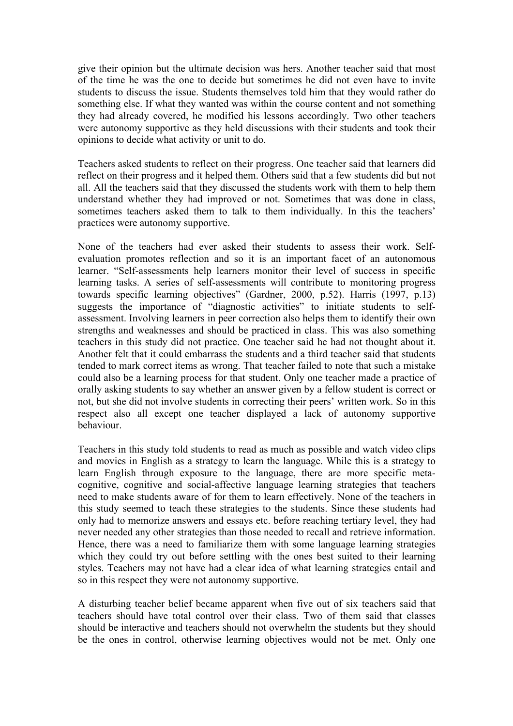give their opinion but the ultimate decision was hers. Another teacher said that most of the time he was the one to decide but sometimes he did not even have to invite students to discuss the issue. Students themselves told him that they would rather do something else. If what they wanted was within the course content and not something they had already covered, he modified his lessons accordingly. Two other teachers were autonomy supportive as they held discussions with their students and took their opinions to decide what activity or unit to do.

Teachers asked students to reflect on their progress. One teacher said that learners did reflect on their progress and it helped them. Others said that a few students did but not all. All the teachers said that they discussed the students work with them to help them understand whether they had improved or not. Sometimes that was done in class, sometimes teachers asked them to talk to them individually. In this the teachers' practices were autonomy supportive.

None of the teachers had ever asked their students to assess their work. Selfevaluation promotes reflection and so it is an important facet of an autonomous learner. "Self-assessments help learners monitor their level of success in specific learning tasks. A series of self-assessments will contribute to monitoring progress towards specific learning objectives" (Gardner, 2000, p.52). Harris (1997, p.13) suggests the importance of "diagnostic activities" to initiate students to selfassessment. Involving learners in peer correction also helps them to identify their own strengths and weaknesses and should be practiced in class. This was also something teachers in this study did not practice. One teacher said he had not thought about it. Another felt that it could embarrass the students and a third teacher said that students tended to mark correct items as wrong. That teacher failed to note that such a mistake could also be a learning process for that student. Only one teacher made a practice of orally asking students to say whether an answer given by a fellow student is correct or not, but she did not involve students in correcting their peers' written work. So in this respect also all except one teacher displayed a lack of autonomy supportive behaviour.

Teachers in this study told students to read as much as possible and watch video clips and movies in English as a strategy to learn the language. While this is a strategy to learn English through exposure to the language, there are more specific metacognitive, cognitive and social-affective language learning strategies that teachers need to make students aware of for them to learn effectively. None of the teachers in this study seemed to teach these strategies to the students. Since these students had only had to memorize answers and essays etc. before reaching tertiary level, they had never needed any other strategies than those needed to recall and retrieve information. Hence, there was a need to familiarize them with some language learning strategies which they could try out before settling with the ones best suited to their learning styles. Teachers may not have had a clear idea of what learning strategies entail and so in this respect they were not autonomy supportive.

A disturbing teacher belief became apparent when five out of six teachers said that teachers should have total control over their class. Two of them said that classes should be interactive and teachers should not overwhelm the students but they should be the ones in control, otherwise learning objectives would not be met. Only one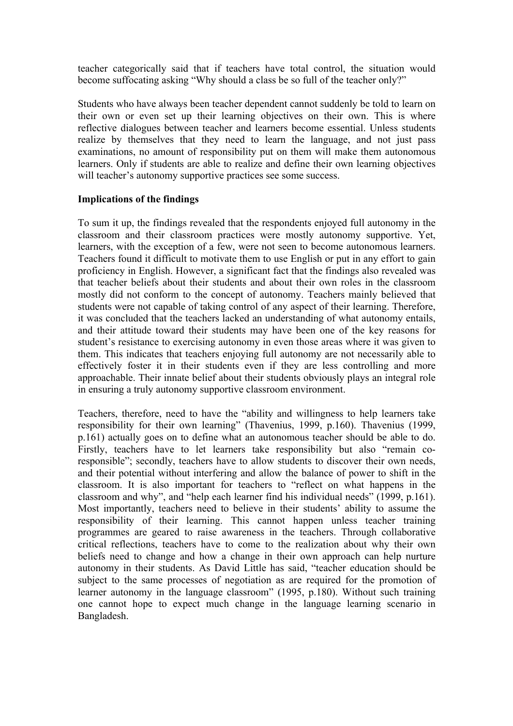teacher categorically said that if teachers have total control, the situation would become suffocating asking "Why should a class be so full of the teacher only?"

Students who have always been teacher dependent cannot suddenly be told to learn on their own or even set up their learning objectives on their own. This is where reflective dialogues between teacher and learners become essential. Unless students realize by themselves that they need to learn the language, and not just pass examinations, no amount of responsibility put on them will make them autonomous learners. Only if students are able to realize and define their own learning objectives will teacher's autonomy supportive practices see some success.

#### **Implications of the findings**

To sum it up, the findings revealed that the respondents enjoyed full autonomy in the classroom and their classroom practices were mostly autonomy supportive. Yet, learners, with the exception of a few, were not seen to become autonomous learners. Teachers found it difficult to motivate them to use English or put in any effort to gain proficiency in English. However, a significant fact that the findings also revealed was that teacher beliefs about their students and about their own roles in the classroom mostly did not conform to the concept of autonomy. Teachers mainly believed that students were not capable of taking control of any aspect of their learning. Therefore, it was concluded that the teachers lacked an understanding of what autonomy entails, and their attitude toward their students may have been one of the key reasons for student's resistance to exercising autonomy in even those areas where it was given to them. This indicates that teachers enjoying full autonomy are not necessarily able to effectively foster it in their students even if they are less controlling and more approachable. Their innate belief about their students obviously plays an integral role in ensuring a truly autonomy supportive classroom environment.

Teachers, therefore, need to have the "ability and willingness to help learners take responsibility for their own learning" (Thavenius, 1999, p.160). Thavenius (1999, p.161) actually goes on to define what an autonomous teacher should be able to do. Firstly, teachers have to let learners take responsibility but also "remain coresponsible"; secondly, teachers have to allow students to discover their own needs, and their potential without interfering and allow the balance of power to shift in the classroom. It is also important for teachers to "reflect on what happens in the classroom and why", and "help each learner find his individual needs" (1999, p.161). Most importantly, teachers need to believe in their students' ability to assume the responsibility of their learning. This cannot happen unless teacher training programmes are geared to raise awareness in the teachers. Through collaborative critical reflections, teachers have to come to the realization about why their own beliefs need to change and how a change in their own approach can help nurture autonomy in their students. As David Little has said, "teacher education should be subject to the same processes of negotiation as are required for the promotion of learner autonomy in the language classroom" (1995, p.180). Without such training one cannot hope to expect much change in the language learning scenario in Bangladesh.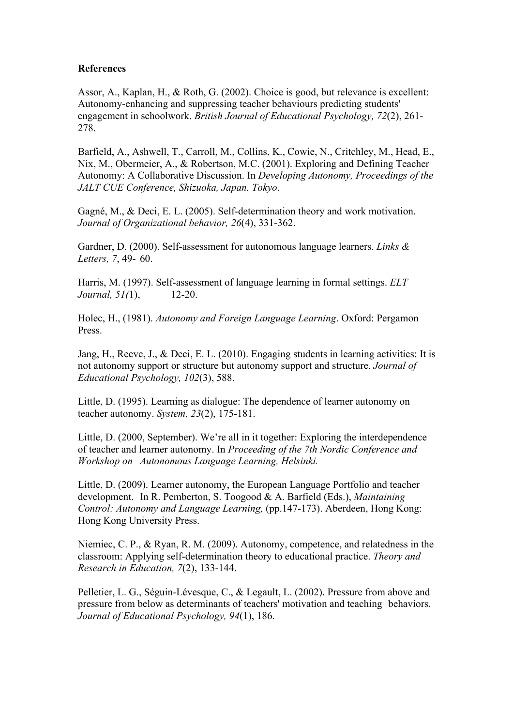### **References**

Assor, A., Kaplan, H., & Roth, G. (2002). Choice is good, but relevance is excellent: Autonomy-enhancing and suppressing teacher behaviours predicting students' engagement in schoolwork. *British Journal of Educational Psychology, 72*(2), 261- 278.

Barfield, A., Ashwell, T., Carroll, M., Collins, K., Cowie, N., Critchley, M., Head, E., Nix, M., Obermeier, A., & Robertson, M.C. (2001). Exploring and Defining Teacher Autonomy: A Collaborative Discussion. In *Developing Autonomy, Proceedings of the JALT CUE Conference, Shizuoka, Japan. Tokyo*.

Gagné, M., & Deci, E. L. (2005). Self-determination theory and work motivation. *Journal of Organizational behavior, 26*(4), 331-362.

Gardner, D. (2000). Self-assessment for autonomous language learners. *Links & Letters, 7*, 49- 60.

Harris, M. (1997). Self-assessment of language learning in formal settings. *ELT Journal, 51(*1), 12-20.

Holec, H., (1981). *Autonomy and Foreign Language Learning*. Oxford: Pergamon Press.

Jang, H., Reeve, J., & Deci, E. L. (2010). Engaging students in learning activities: It is not autonomy support or structure but autonomy support and structure. *Journal of Educational Psychology, 102*(3), 588.

Little, D. (1995). Learning as dialogue: The dependence of learner autonomy on teacher autonomy. *System, 23*(2), 175-181.

Little, D. (2000, September). We're all in it together: Exploring the interdependence of teacher and learner autonomy. In *Proceeding of the 7th Nordic Conference and Workshop on Autonomous Language Learning, Helsinki.*

Little, D. (2009). Learner autonomy, the European Language Portfolio and teacher development. In R. Pemberton, S. Toogood & A. Barfield (Eds.), *Maintaining Control: Autonomy and Language Learning,* (pp.147-173). Aberdeen, Hong Kong: Hong Kong University Press.

Niemiec, C. P., & Ryan, R. M. (2009). Autonomy, competence, and relatedness in the classroom: Applying self-determination theory to educational practice. *Theory and Research in Education, 7*(2), 133-144.

Pelletier, L. G., Séguin-Lévesque, C., & Legault, L. (2002). Pressure from above and pressure from below as determinants of teachers' motivation and teaching behaviors. *Journal of Educational Psychology, 94*(1), 186.